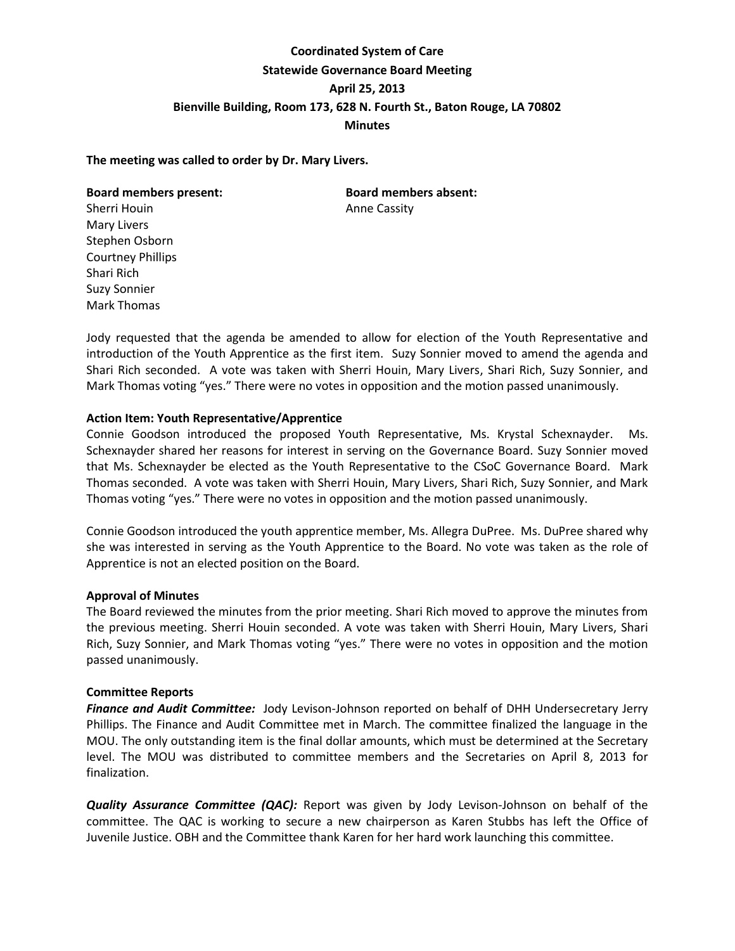# **Coordinated System of Care Statewide Governance Board Meeting April 25, 2013 Bienville Building, Room 173, 628 N. Fourth St., Baton Rouge, LA 70802 Minutes**

### **The meeting was called to order by Dr. Mary Livers.**

### **Board members present: Board members absent:**

Sherri Houin **Anne Cassity** Mary Livers Stephen Osborn Courtney Phillips Shari Rich Suzy Sonnier Mark Thomas

Jody requested that the agenda be amended to allow for election of the Youth Representative and introduction of the Youth Apprentice as the first item. Suzy Sonnier moved to amend the agenda and Shari Rich seconded. A vote was taken with Sherri Houin, Mary Livers, Shari Rich, Suzy Sonnier, and Mark Thomas voting "yes." There were no votes in opposition and the motion passed unanimously.

# **Action Item: Youth Representative/Apprentice**

Connie Goodson introduced the proposed Youth Representative, Ms. Krystal Schexnayder. Ms. Schexnayder shared her reasons for interest in serving on the Governance Board. Suzy Sonnier moved that Ms. Schexnayder be elected as the Youth Representative to the CSoC Governance Board. Mark Thomas seconded. A vote was taken with Sherri Houin, Mary Livers, Shari Rich, Suzy Sonnier, and Mark Thomas voting "yes." There were no votes in opposition and the motion passed unanimously.

Connie Goodson introduced the youth apprentice member, Ms. Allegra DuPree. Ms. DuPree shared why she was interested in serving as the Youth Apprentice to the Board. No vote was taken as the role of Apprentice is not an elected position on the Board.

### **Approval of Minutes**

The Board reviewed the minutes from the prior meeting. Shari Rich moved to approve the minutes from the previous meeting. Sherri Houin seconded. A vote was taken with Sherri Houin, Mary Livers, Shari Rich, Suzy Sonnier, and Mark Thomas voting "yes." There were no votes in opposition and the motion passed unanimously.

### **Committee Reports**

*Finance and Audit Committee:* Jody Levison-Johnson reported on behalf of DHH Undersecretary Jerry Phillips. The Finance and Audit Committee met in March. The committee finalized the language in the MOU. The only outstanding item is the final dollar amounts, which must be determined at the Secretary level. The MOU was distributed to committee members and the Secretaries on April 8, 2013 for finalization.

*Quality Assurance Committee (QAC):* Report was given by Jody Levison-Johnson on behalf of the committee. The QAC is working to secure a new chairperson as Karen Stubbs has left the Office of Juvenile Justice. OBH and the Committee thank Karen for her hard work launching this committee.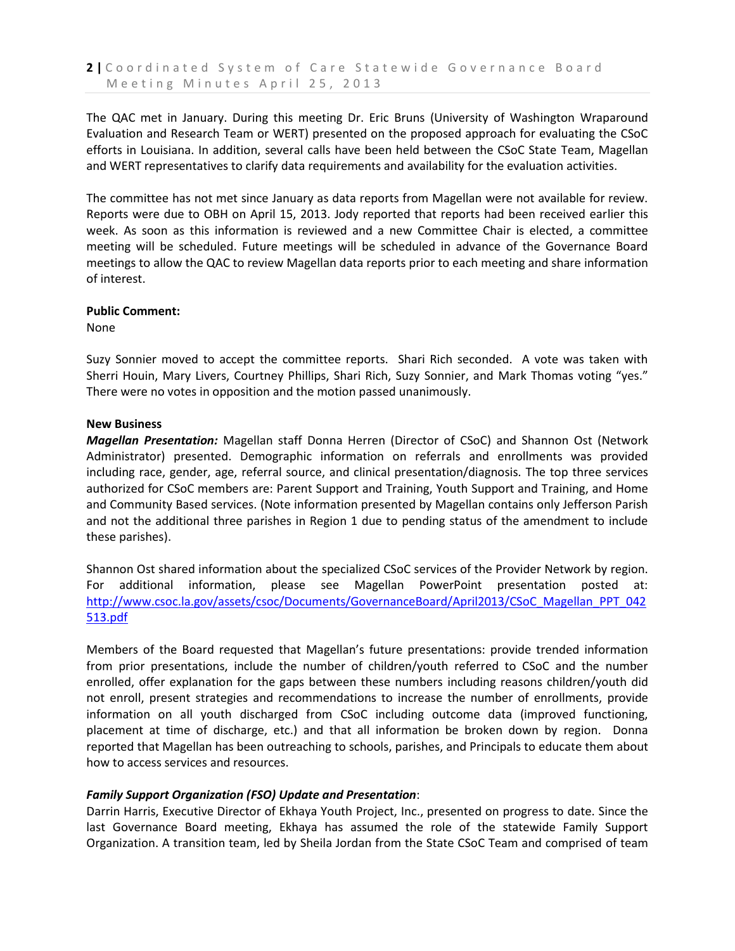The QAC met in January. During this meeting Dr. Eric Bruns (University of Washington Wraparound Evaluation and Research Team or WERT) presented on the proposed approach for evaluating the CSoC efforts in Louisiana. In addition, several calls have been held between the CSoC State Team, Magellan and WERT representatives to clarify data requirements and availability for the evaluation activities.

The committee has not met since January as data reports from Magellan were not available for review. Reports were due to OBH on April 15, 2013. Jody reported that reports had been received earlier this week. As soon as this information is reviewed and a new Committee Chair is elected, a committee meeting will be scheduled. Future meetings will be scheduled in advance of the Governance Board meetings to allow the QAC to review Magellan data reports prior to each meeting and share information of interest.

# **Public Comment:**

None

Suzy Sonnier moved to accept the committee reports. Shari Rich seconded. A vote was taken with Sherri Houin, Mary Livers, Courtney Phillips, Shari Rich, Suzy Sonnier, and Mark Thomas voting "yes." There were no votes in opposition and the motion passed unanimously.

# **New Business**

*Magellan Presentation:* Magellan staff Donna Herren (Director of CSoC) and Shannon Ost (Network Administrator) presented. Demographic information on referrals and enrollments was provided including race, gender, age, referral source, and clinical presentation/diagnosis. The top three services authorized for CSoC members are: Parent Support and Training, Youth Support and Training, and Home and Community Based services. (Note information presented by Magellan contains only Jefferson Parish and not the additional three parishes in Region 1 due to pending status of the amendment to include these parishes).

Shannon Ost shared information about the specialized CSoC services of the Provider Network by region. For additional information, please see Magellan PowerPoint presentation posted at: [http://www.csoc.la.gov/assets/csoc/Documents/GovernanceBoard/April2013/CSoC\\_Magellan\\_PPT\\_042](http://www.csoc.la.gov/assets/csoc/Documents/GovernanceBoard/April2013/CSoC_Magellan_PPT_042513.pdf) [513.pdf](http://www.csoc.la.gov/assets/csoc/Documents/GovernanceBoard/April2013/CSoC_Magellan_PPT_042513.pdf)

Members of the Board requested that Magellan's future presentations: provide trended information from prior presentations, include the number of children/youth referred to CSoC and the number enrolled, offer explanation for the gaps between these numbers including reasons children/youth did not enroll, present strategies and recommendations to increase the number of enrollments, provide information on all youth discharged from CSoC including outcome data (improved functioning, placement at time of discharge, etc.) and that all information be broken down by region. Donna reported that Magellan has been outreaching to schools, parishes, and Principals to educate them about how to access services and resources.

# *Family Support Organization (FSO) Update and Presentation*:

Darrin Harris, Executive Director of Ekhaya Youth Project, Inc., presented on progress to date. Since the last Governance Board meeting, Ekhaya has assumed the role of the statewide Family Support Organization. A transition team, led by Sheila Jordan from the State CSoC Team and comprised of team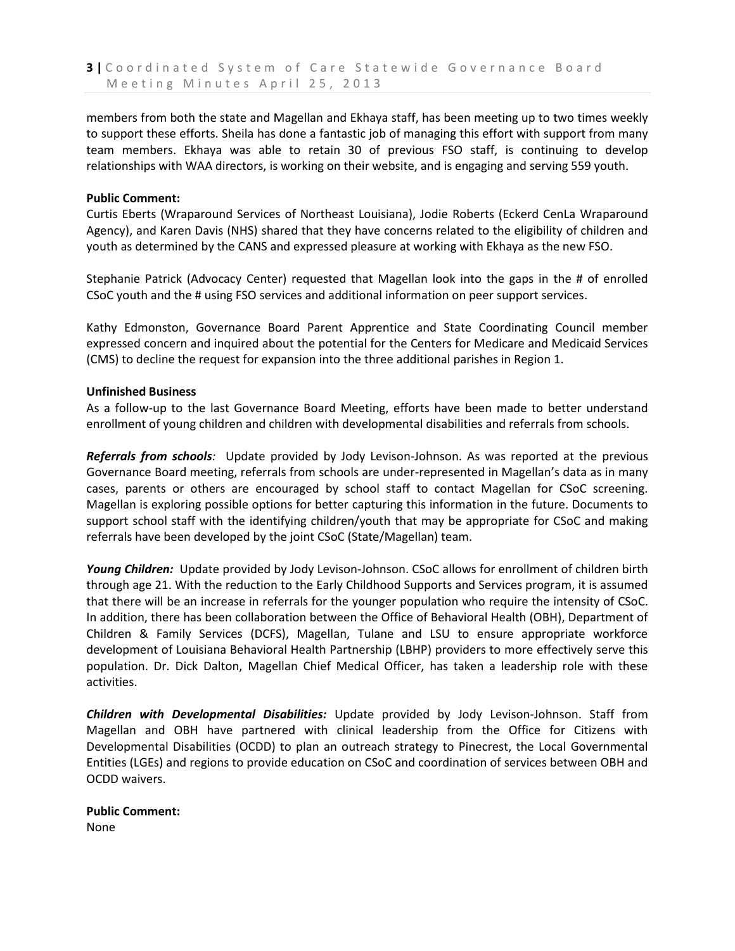members from both the state and Magellan and Ekhaya staff, has been meeting up to two times weekly to support these efforts. Sheila has done a fantastic job of managing this effort with support from many team members. Ekhaya was able to retain 30 of previous FSO staff, is continuing to develop relationships with WAA directors, is working on their website, and is engaging and serving 559 youth.

### **Public Comment:**

Curtis Eberts (Wraparound Services of Northeast Louisiana), Jodie Roberts (Eckerd CenLa Wraparound Agency), and Karen Davis (NHS) shared that they have concerns related to the eligibility of children and youth as determined by the CANS and expressed pleasure at working with Ekhaya as the new FSO.

Stephanie Patrick (Advocacy Center) requested that Magellan look into the gaps in the # of enrolled CSoC youth and the # using FSO services and additional information on peer support services.

Kathy Edmonston, Governance Board Parent Apprentice and State Coordinating Council member expressed concern and inquired about the potential for the Centers for Medicare and Medicaid Services (CMS) to decline the request for expansion into the three additional parishes in Region 1.

# **Unfinished Business**

As a follow-up to the last Governance Board Meeting, efforts have been made to better understand enrollment of young children and children with developmental disabilities and referrals from schools.

*Referrals from schools:* Update provided by Jody Levison-Johnson. As was reported at the previous Governance Board meeting, referrals from schools are under-represented in Magellan's data as in many cases, parents or others are encouraged by school staff to contact Magellan for CSoC screening. Magellan is exploring possible options for better capturing this information in the future. Documents to support school staff with the identifying children/youth that may be appropriate for CSoC and making referrals have been developed by the joint CSoC (State/Magellan) team.

*Young Children:*Update provided by Jody Levison-Johnson. CSoC allows for enrollment of children birth through age 21. With the reduction to the Early Childhood Supports and Services program, it is assumed that there will be an increase in referrals for the younger population who require the intensity of CSoC. In addition, there has been collaboration between the Office of Behavioral Health (OBH), Department of Children & Family Services (DCFS), Magellan, Tulane and LSU to ensure appropriate workforce development of Louisiana Behavioral Health Partnership (LBHP) providers to more effectively serve this population. Dr. Dick Dalton, Magellan Chief Medical Officer, has taken a leadership role with these activities.

*Children with Developmental Disabilities:* Update provided by Jody Levison-Johnson. Staff from Magellan and OBH have partnered with clinical leadership from the Office for Citizens with Developmental Disabilities (OCDD) to plan an outreach strategy to Pinecrest, the Local Governmental Entities (LGEs) and regions to provide education on CSoC and coordination of services between OBH and OCDD waivers.

**Public Comment:** None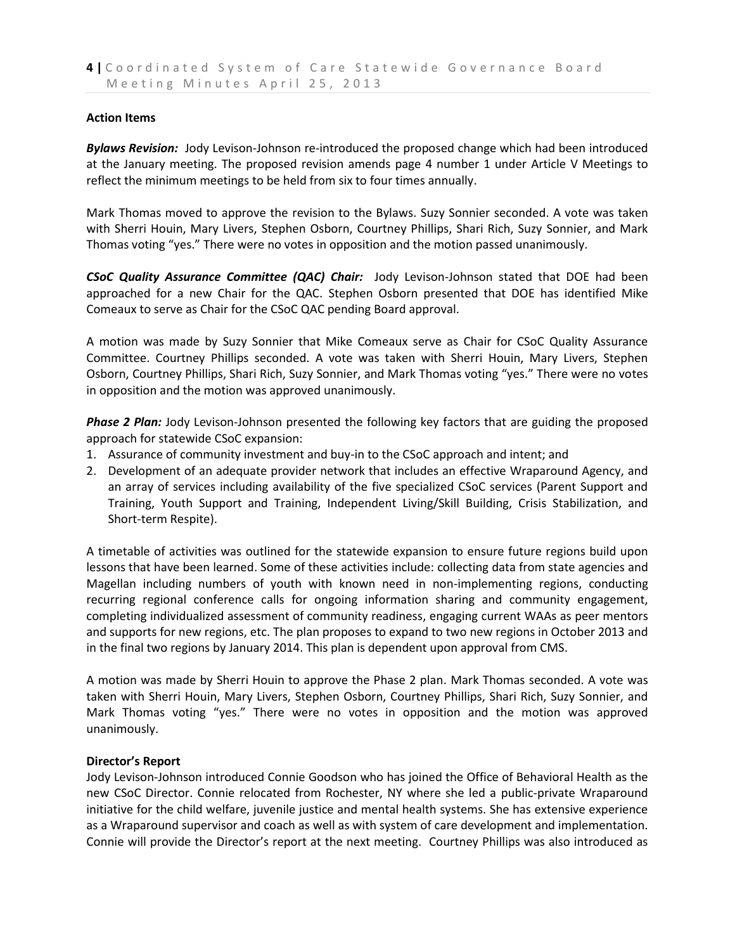### **Action Items**

*Bylaws Revision:* Jody Levison-Johnson re-introduced the proposed change which had been introduced at the January meeting. The proposed revision amends page 4 number 1 under Article V Meetings to reflect the minimum meetings to be held from six to four times annually.

Mark Thomas moved to approve the revision to the Bylaws. Suzy Sonnier seconded. A vote was taken with Sherri Houin, Mary Livers, Stephen Osborn, Courtney Phillips, Shari Rich, Suzy Sonnier, and Mark Thomas voting "yes." There were no votes in opposition and the motion passed unanimously.

*CSoC Quality Assurance Committee (QAC) Chair:*Jody Levison-Johnson stated that DOE had been approached for a new Chair for the QAC. Stephen Osborn presented that DOE has identified Mike Comeaux to serve as Chair for the CSoC QAC pending Board approval.

A motion was made by Suzy Sonnier that Mike Comeaux serve as Chair for CSoC Quality Assurance Committee. Courtney Phillips seconded. A vote was taken with Sherri Houin, Mary Livers, Stephen Osborn, Courtney Phillips, Shari Rich, Suzy Sonnier, and Mark Thomas voting "yes." There were no votes in opposition and the motion was approved unanimously.

*Phase 2 Plan:* Jody Levison-Johnson presented the following key factors that are guiding the proposed approach for statewide CSoC expansion:

- 1. Assurance of community investment and buy-in to the CSoC approach and intent; and
- 2. Development of an adequate provider network that includes an effective Wraparound Agency, and an array of services including availability of the five specialized CSoC services (Parent Support and Training, Youth Support and Training, Independent Living/Skill Building, Crisis Stabilization, and Short-term Respite).

A timetable of activities was outlined for the statewide expansion to ensure future regions build upon lessons that have been learned. Some of these activities include: collecting data from state agencies and Magellan including numbers of youth with known need in non-implementing regions, conducting recurring regional conference calls for ongoing information sharing and community engagement, completing individualized assessment of community readiness, engaging current WAAs as peer mentors and supports for new regions, etc. The plan proposes to expand to two new regions in October 2013 and in the final two regions by January 2014. This plan is dependent upon approval from CMS.

A motion was made by Sherri Houin to approve the Phase 2 plan. Mark Thomas seconded. A vote was taken with Sherri Houin, Mary Livers, Stephen Osborn, Courtney Phillips, Shari Rich, Suzy Sonnier, and Mark Thomas voting "yes." There were no votes in opposition and the motion was approved unanimously.

### **Director's Report**

Jody Levison-Johnson introduced Connie Goodson who has joined the Office of Behavioral Health as the new CSoC Director. Connie relocated from Rochester, NY where she led a public-private Wraparound initiative for the child welfare, juvenile justice and mental health systems. She has extensive experience as a Wraparound supervisor and coach as well as with system of care development and implementation. Connie will provide the Director's report at the next meeting. Courtney Phillips was also introduced as